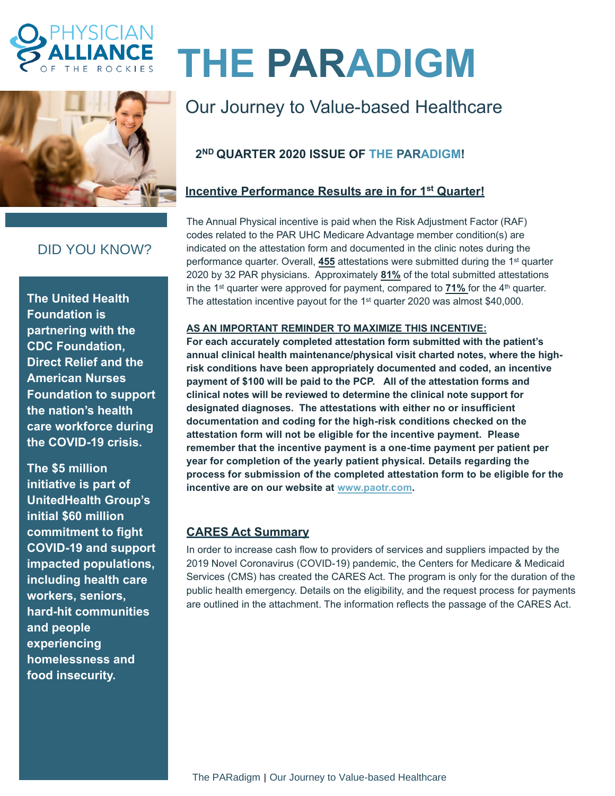



# **THE PARADIGM**

# Our Journey to Value-based Healthcare

# **2 ND QUARTER 2020 ISSUE OF THE PARADIGM!**

## **Incentive Performance Results are in for 1 st Quarter!**

The Annual Physical incentive is paid when the Risk Adjustment Factor (RAF) codes related to the PAR UHC Medicare Advantage member condition(s) are indicated on the attestation form and documented in the clinic notes during the performance quarter. Overall, **455** attestations were submitted during the 1 st quarter 2020 by 32 PAR physicians. Approximately **81%** of the total submitted attestations in the 1<sup>st</sup> quarter were approved for payment, compared to **71%** for the 4<sup>th</sup> quarter. The attestation incentive payout for the 1<sup>st</sup> quarter 2020 was almost \$40,000.

#### **AS AN IMPORTANT REMINDER TO MAXIMIZE THIS INCENTIVE:**

**For each accurately completed attestation form submitted with the patient's annual clinical health maintenance/physical visit charted notes, where the highrisk conditions have been appropriately documented and coded, an incentive payment of \$100 will be paid to the PCP. All of the attestation forms and clinical notes will be reviewed to determine the clinical note support for designated diagnoses. The attestations with either no or insufficient documentation and coding for the high-risk conditions checked on the attestation form will not be eligible for the incentive payment. Please remember that the incentive payment is a one-time payment per patient per year for completion of the yearly patient physical. Details regarding the process for submission of the completed attestation form to be eligible for the incentive are on our website at [www.paotr.com.](http://www.paotr.com/)** 

### **CARES Act Summary**

In order to increase cash flow to providers of services and suppliers impacted by the 2019 Novel Coronavirus (COVID-19) pandemic, the Centers for Medicare & Medicaid Services (CMS) has created the CARES Act. The program is only for the duration of the public health emergency. Details on the eligibility, and the request process for payments are outlined in the attachment. The information reflects the passage of the CARES Act.

# DID YOU KNOW?

**The United Health Foundation is partnering with the CDC Foundation, Direct Relief and the American Nurses Foundation to support the nation's health care workforce during the COVID-19 crisis.** 

**The \$5 million initiative is part of UnitedHealth Group's initial \$60 million commitment to fight COVID-19 and support impacted populations, including health care workers, seniors, hard-hit communities and people experiencing homelessness and food insecurity.**